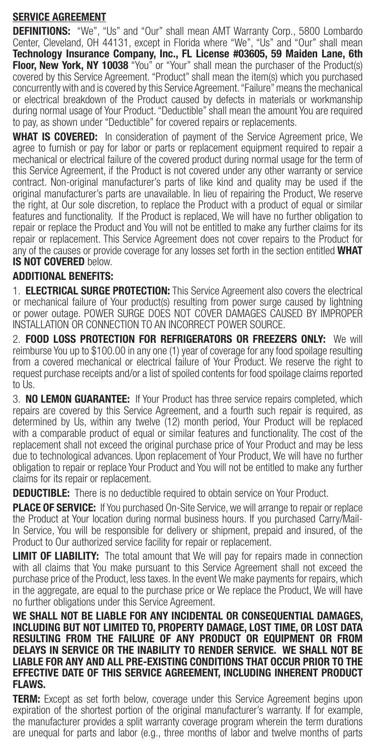## SERVICE AGREEMENT

DEFINITIONS: "We", "Us" and "Our" shall mean AMT Warranty Corp., 5800 Lombardo Center, Cleveland, OH 44131, except in Florida where "We", "Us" and "Our" shall mean Technology Insurance Company, Inc., FL License #03605, 59 Maiden Lane, 6th Floor, New York, NY 10038 "You" or "Your" shall mean the purchaser of the Product(s) covered by this Service Agreement. "Product" shall mean the item(s) which you purchased concurrently with and is covered by this Service Agreement. "Failure" means the mechanical or electrical breakdown of the Product caused by defects in materials or workmanship during normal usage of Your Product. "Deductible" shall mean the amount You are required to pay, as shown under "Deductible" for covered repairs or replacements.

**WHAT IS COVERED:** In consideration of payment of the Service Agreement price, We agree to furnish or pay for labor or parts or replacement equipment required to repair a mechanical or electrical failure of the covered product during normal usage for the term of this Service Agreement, if the Product is not covered under any other warranty or service contract. Non-original manufacturer's parts of like kind and quality may be used if the original manufacturer's parts are unavailable. In lieu of repairing the Product, We reserve the right, at Our sole discretion, to replace the Product with a product of equal or similar features and functionality. If the Product is replaced, We will have no further obligation to repair or replace the Product and You will not be entitled to make any further claims for its repair or replacement. This Service Agreement does not cover repairs to the Product for any of the causes or provide coverage for any losses set forth in the section entitled WHAT IS NOT COVERED below.

# ADDITIONAL BENEFITS:

1. **ELECTRICAL SURGE PROTECTION:** This Service Agreement also covers the electrical or mechanical failure of Your product(s) resulting from power surge caused by lightning or power outage. POWER SURGE DOES NOT COVER DAMAGES CAUSED BY IMPROPER INSTALLATION OR CONNECTION TO AN INCORRECT POWER SOURCE.

2. FOOD LOSS PROTECTION FOR REFRIGERATORS OR FREEZERS ONLY: We will reimburse You up to \$100.00 in any one (1) year of coverage for any food spoilage resulting from a covered mechanical or electrical failure of Your Product. We reserve the right to request purchase receipts and/or a list of spoiled contents for food spoilage claims reported to Us.

3. NO LEMON GUARANTEE: If Your Product has three service repairs completed, which repairs are covered by this Service Agreement, and a fourth such repair is required, as determined by Us, within any twelve (12) month period, Your Product will be replaced with a comparable product of equal or similar features and functionality. The cost of the replacement shall not exceed the original purchase price of Your Product and may be less due to technological advances. Upon replacement of Your Product, We will have no further obligation to repair or replace Your Product and You will not be entitled to make any further claims for its repair or replacement.

**DEDUCTIBLE:** There is no deductible required to obtain service on Your Product.

**PLACE OF SERVICE:** If You purchased On-Site Service, we will arrange to repair or replace the Product at Your location during normal business hours. If you purchased Carry/Mail-In Service, You will be responsible for delivery or shipment, prepaid and insured, of the Product to Our authorized service facility for repair or replacement.

**LIMIT OF LIABILITY:** The total amount that We will pay for repairs made in connection with all claims that You make pursuant to this Service Agreement shall not exceed the purchase price of the Product, less taxes. In the event We make payments for repairs, which in the aggregate, are equal to the purchase price or We replace the Product, We will have no further obligations under this Service Agreement.

WE SHALL NOT BE LIABLE FOR ANY INCIDENTAL OR CONSEQUENTIAL DAMAGES. INCLUDING BUT NOT LIMITED TO, PROPERTY DAMAGE, LOST TIME, OR LOST DATA RESULTING FROM THE FAILURE OF ANY PRODUCT OR EQUIPMENT OR FROM DELAYS IN SERVICE OR THE INABILITY TO RENDER SERVICE. WE SHALL NOT BE LIABLE FOR ANY AND ALL PRE-EXISTING CONDITIONS THAT OCCUR PRIOR TO THE EFFECTIVE DATE OF THIS SERVICE AGREEMENT, INCLUDING INHERENT PRODUCT FLAWS.

**TERM:** Except as set forth below, coverage under this Service Agreement begins upon expiration of the shortest portion of the original manufacturer's warranty. If for example, the manufacturer provides a split warranty coverage program wherein the term durations are unequal for parts and labor (e.g., three months of labor and twelve months of parts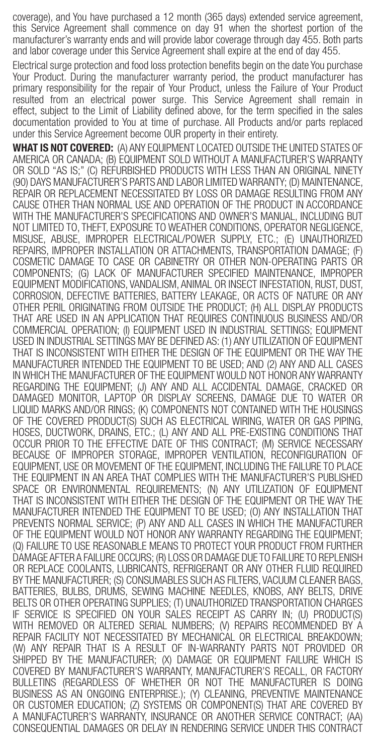coverage), and You have purchased a 12 month (365 days) extended service agreement, this Service Agreement shall commence on day 91 when the shortest portion of the manufacturer's warranty ends and will provide labor coverage through day 455. Both parts and labor coverage under this Service Agreement shall expire at the end of day 455.

Electrical surge protection and food loss protection benefits begin on the date You purchase Your Product. During the manufacturer warranty period, the product manufacturer has primary responsibility for the repair of Your Product, unless the Failure of Your Product resulted from an electrical power surge. This Service Agreement shall remain in effect, subject to the Limit of Liability defined above, for the term specified in the sales documentation provided to You at time of purchase. All Products and/or parts replaced under this Service Agreement become OUR property in their entirety.

WHAT IS NOT COVERED: (A) ANY EQUIPMENT LOCATED OUTSIDE THE UNITED STATES OF AMERICA OR CANADA; (B) EQUIPMENT SOLD WITHOUT A MANUFACTURER'S WARRANTY OR SOLD "AS IS;" (C) REFURBISHED PRODUCTS WITH LESS THAN AN ORIGINAL NINETY (90) DAYS MANUFACTURER'S PARTS AND LABOR LIMITED WARRANTY; (D) MAINTENANCE, REPAIR OR REPLACEMENT NECESSITATED BY LOSS OR DAMAGE RESULTING FROM ANY CAUSE OTHER THAN NORMAL USE AND OPERATION OF THE PRODUCT IN ACCORDANCE WITH THE MANUFACTURER'S SPECIFICATIONS AND OWNER'S MANUAL, INCLUDING BUT NOT LIMITED TO, THEFT, EXPOSURE TO WEATHER CONDITIONS, OPERATOR NEGLIGENCE, MISUSE, ABUSE, IMPROPER ELECTRICAL/POWER SUPPLY, ETC.; (E) UNAUTHORIZED REPAIRS, IMPROPER INSTALLATION OR ATTACHMENTS, TRANSPORTATION DAMAGE; (F) COSMETIC DAMAGE TO CASE OR CABINETRY OR OTHER NON-OPERATING PARTS OR COMPONENTS; (G) LACK OF MANUFACTURER SPECIFIED MAINTENANCE, IMPROPER EQUIPMENT MODIFICATIONS, VANDALISM, ANIMAL OR INSECT INFESTATION, RUST, DUST, CORROSION, DEFECTIVE BATTERIES, BATTERY LEAKAGE, OR ACTS OF NATURE OR ANY OTHER PERIL ORIGINATING FROM OUTSIDE THE PRODUCT; (H) ALL DISPLAY PRODUCTS THAT ARE USED IN AN APPLICATION THAT REQUIRES CONTINUOUS BUSINESS AND/OR COMMERCIAL OPERATION; (I) EQUIPMENT USED IN INDUSTRIAL SETTINGS; EQUIPMENT USED IN INDUSTRIAL SETTINGS MAY BE DEFINED AS: (1) ANY UTILIZATION OF EQUIPMENT THAT IS INCONSISTENT WITH EITHER THE DESIGN OF THE EQUIPMENT OR THE WAY THE MANUFACTURER INTENDED THE EQUIPMENT TO BE USED; AND (2) ANY AND ALL CASES IN WHICH THE MANUFACTURER OF THE EQUIPMENT WOULD NOT HONOR ANY WARRANTY REGARDING THE EQUIPMENT; (J) ANY AND ALL ACCIDENTAL DAMAGE, CRACKED OR DAMAGED MONITOR, LAPTOP OR DISPLAY SCREENS, DAMAGE DUE TO WATER OR LIQUID MARKS AND/OR RINGS; (K) COMPONENTS NOT CONTAINED WITH THE HOUSINGS OF THE COVERED PRODUCT(S) SUCH AS ELECTRICAL WIRING, WATER OR GAS PIPING, HOSES, DUCTWORK, DRAINS, ETC.; (L) ANY AND ALL PRE-EXISTING CONDITIONS THAT OCCUR PRIOR TO THE EFFECTIVE DATE OF THIS CONTRACT; (M) SERVICE NECESSARY BECAUSE OF IMPROPER STORAGE, IMPROPER VENTILATION, RECONFIGURATION OF EQUIPMENT, USE OR MOVEMENT OF THE EQUIPMENT, INCLUDING THE FAILURE TO PLACE THE EQUIPMENT IN AN AREA THAT COMPLIES WITH THE MANUFACTURER'S PUBLISHED SPACE OR ENVIRONMENTAL REQUIREMENTS; (N) ANY UTILIZATION OF EQUIPMENT THAT IS INCONSISTENT WITH EITHER THE DESIGN OF THE EQUIPMENT OR THE WAY THE MANUFACTURER INTENDED THE EQUIPMENT TO BE USED; (O) ANY INSTALLATION THAT PREVENTS NORMAL SERVICE; (P) ANY AND ALL CASES IN WHICH THE MANUFACTURER OF THE EQUIPMENT WOULD NOT HONOR ANY WARRANTY REGARDING THE EQUIPMENT; (Q) FAILURE TO USE REASONABLE MEANS TO PROTECT YOUR PRODUCT FROM FURTHER DAMAGE AFTER A FAILURE OCCURS; (R) LOSS OR DAMAGE DUE TO FAILURE TO REPLENISH OR REPLACE COOLANTS, LUBRICANTS, REFRIGERANT OR ANY OTHER FLUID REQUIRED BY THE MANUFACTURER; (S) CONSUMABLES SUCH AS FILTERS, VACUUM CLEANER BAGS, BATTERIES, BULBS, DRUMS, SEWING MACHINE NEEDLES, KNOBS, ANY BELTS, DRIVE BELTS OR OTHER OPERATING SUPPLIES; (T) UNAUTHORIZED TRANSPORTATION CHARGES IF SERVICE IS SPECIFIED ON YOUR SALES RECEIPT AS CARRY IN; (U) PRODUCT(S) WITH REMOVED OR ALTERED SERIAL NUMBERS; (V) REPAIRS RECOMMENDED BY A REPAIR FACILITY NOT NECESSITATED BY MECHANICAL OR ELECTRICAL BREAKDOWN; (W) ANY REPAIR THAT IS A RESULT OF IN-WARRANTY PARTS NOT PROVIDED OR SHIPPED BY THE MANUFACTURER; (X) DAMAGE OR EQUIPMENT FAILURE WHICH IS COVERED BY MANUFACTURER'S WARRANTY, MANUFACTURER'S RECALL, OR FACTORY BULLETINS (REGARDLESS OF WHETHER OR NOT THE MANUFACTURER IS DOING BUSINESS AS AN ONGOING ENTERPRISE.); (Y) CLEANING, PREVENTIVE MAINTENANCE OR CUSTOMER EDUCATION; (Z) SYSTEMS OR COMPONENT(S) THAT ARE COVERED BY A MANUFACTURER'S WARRANTY, INSURANCE OR ANOTHER SERVICE CONTRACT; (AA) CONSEQUENTIAL DAMAGES OR DELAY IN RENDERING SERVICE UNDER THIS CONTRACT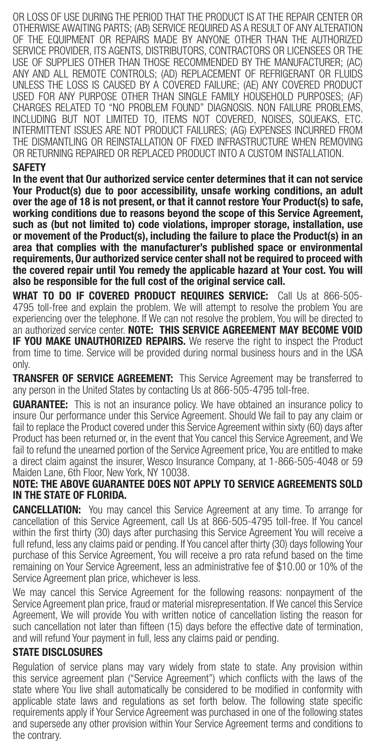OR LOSS OF USE DURING THE PERIOD THAT THE PRODUCT IS AT THE REPAIR CENTER OR OTHERWISE AWAITING PARTS; (AB) SERVICE REQUIRED AS A RESULT OF ANY ALTERATION OF THE EQUIPMENT OR REPAIRS MADE BY ANYONE OTHER THAN THE AUTHORIZED SERVICE PROVIDER, ITS AGENTS, DISTRIBUTORS, CONTRACTORS OR LICENSEES OR THE USE OF SUPPLIES OTHER THAN THOSE RECOMMENDED BY THE MANUFACTURER; (AC) ANY AND ALL REMOTE CONTROLS; (AD) REPLACEMENT OF REFRIGERANT OR FLUIDS UNLESS THE LOSS IS CAUSED BY A COVERED FAILURE; (AE) ANY COVERED PRODUCT USED FOR ANY PURPOSE OTHER THAN SINGLE FAMILY HOUSEHOLD PURPOSES; (AF) CHARGES RELATED TO "NO PROBLEM FOUND" DIAGNOSIS. NON FAILURE PROBLEMS, INCLUDING BUT NOT LIMITED TO, ITEMS NOT COVERED, NOISES, SQUEAKS, ETC. INTERMITTENT ISSUES ARE NOT PRODUCT FAILURES; (AG) EXPENSES INCURRED FROM THE DISMANTLING OR REINSTALLATION OF FIXED INFRASTRUCTURE WHEN REMOVING OR RETURNING REPAIRED OR REPLACED PRODUCT INTO A CUSTOM INSTALLATION.

#### SAFETY

In the event that Our authorized service center determines that it can not service Your Product(s) due to poor accessibility, unsafe working conditions, an adult over the age of 18 is not present, or that it cannot restore Your Product(s) to safe, working conditions due to reasons beyond the scope of this Service Agreement, such as (but not limited to) code violations, improper storage, installation, use or movement of the Product(s), including the failure to place the Product(s) in an area that complies with the manufacturer's published space or environmental requirements, Our authorized service center shall not be required to proceed with the covered repair until You remedy the applicable hazard at Your cost. You will also be responsible for the full cost of the original service call.

WHAT TO DO IF COVERED PRODUCT REQUIRES SERVICE: Call Us at 866-505-4795 toll-free and explain the problem. We will attempt to resolve the problem You are experiencing over the telephone. If We can not resolve the problem, You will be directed to an authorized service center. NOTE: THIS SERVICE AGREEMENT MAY BECOME VOID **IF YOU MAKE UNAUTHORIZED REPAIRS.** We reserve the right to inspect the Product from time to time. Service will be provided during normal business hours and in the USA only.

**TRANSFER OF SERVICE AGREEMENT:** This Service Agreement may be transferred to any person in the United States by contacting Us at 866-505-4795 toll-free.

**GUARANTEE:** This is not an insurance policy. We have obtained an insurance policy to insure Our performance under this Service Agreement. Should We fail to pay any claim or fail to replace the Product covered under this Service Agreement within sixty (60) days after Product has been returned or, in the event that You cancel this Service Agreement, and We fail to refund the unearned portion of the Service Agreement price, You are entitled to make a direct claim against the insurer, Wesco Insurance Company, at 1-866-505-4048 or 59 Maiden Lane, 6th Floor, New York, NY 10038.

#### NOTE: THE ABOVE GUARANTEE DOES NOT APPLY TO SERVICE AGREEMENTS SOLD IN THE STATE OF FLORIDA.

**CANCELLATION:** You may cancel this Service Agreement at any time. To arrange for cancellation of this Service Agreement, call Us at 866-505-4795 toll-free. If You cancel within the first thirty (30) days after purchasing this Service Agreement You will receive a full refund, less any claims paid or pending. If You cancel after thirty (30) days following Your purchase of this Service Agreement, You will receive a pro rata refund based on the time remaining on Your Service Agreement, less an administrative fee of \$10.00 or 10% of the Service Agreement plan price, whichever is less.

We may cancel this Service Agreement for the following reasons: nonpayment of the Service Agreement plan price, fraud or material misrepresentation. If We cancel this Service Agreement, We will provide You with written notice of cancellation listing the reason for such cancellation not later than fifteen (15) days before the effective date of termination, and will refund Your payment in full, less any claims paid or pending.

### STATE DISCLOSURES

Regulation of service plans may vary widely from state to state. Any provision within this service agreement plan ("Service Agreement") which conflicts with the laws of the state where You live shall automatically be considered to be modified in conformity with applicable state laws and regulations as set forth below. The following state specific requirements apply if Your Service Agreement was purchased in one of the following states and supersede any other provision within Your Service Agreement terms and conditions to the contrary.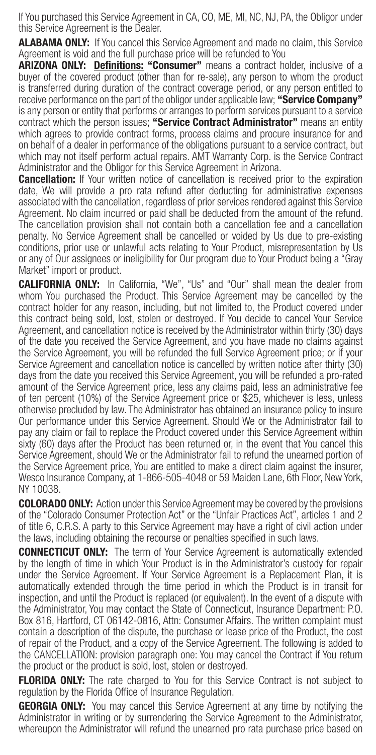If You purchased this Service Agreement in CA, CO, ME, MI, NC, NJ, PA, the Obligor under this Service Agreement is the Dealer.

**ALABAMA ONLY:** If You cancel this Service Agreement and made no claim, this Service Agreement is void and the full purchase price will be refunded to You

ARIZONA ONLY: Definitions: "Consumer" means a contract holder, inclusive of a buyer of the covered product (other than for re-sale), any person to whom the product is transferred during duration of the contract coverage period, or any person entitled to receive performance on the part of the obligor under applicable law: "Service Company" is any person or entity that performs or arranges to perform services pursuant to a service contract which the person issues; "Service Contract Administrator" means an entity which agrees to provide contract forms, process claims and procure insurance for and on behalf of a dealer in performance of the obligations pursuant to a service contract, but which may not itself perform actual repairs. AMT Warranty Corp. is the Service Contract Administrator and the Obligor for this Service Agreement in Arizona.

**Cancellation:** If Your written notice of cancellation is received prior to the expiration date, We will provide a pro rata refund after deducting for administrative expenses associated with the cancellation, regardless of prior services rendered against this Service Agreement. No claim incurred or paid shall be deducted from the amount of the refund. The cancellation provision shall not contain both a cancellation fee and a cancellation penalty. No Service Agreement shall be cancelled or voided by Us due to pre-existing conditions, prior use or unlawful acts relating to Your Product, misrepresentation by Us or any of Our assignees or ineligibility for Our program due to Your Product being a "Gray Market" import or product.

CALIFORNIA ONLY: In California, "We", "Us" and "Our" shall mean the dealer from whom You purchased the Product. This Service Agreement may be cancelled by the contract holder for any reason, including, but not limited to, the Product covered under this contract being sold, lost, stolen or destroyed. If You decide to cancel Your Service Agreement, and cancellation notice is received by the Administrator within thirty (30) days of the date you received the Service Agreement, and you have made no claims against the Service Agreement, you will be refunded the full Service Agreement price; or if your Service Agreement and cancellation notice is cancelled by written notice after thirty (30) days from the date you received this Service Agreement, you will be refunded a pro-rated amount of the Service Agreement price, less any claims paid, less an administrative fee of ten percent (10%) of the Service Agreement price or \$25, whichever is less, unless otherwise precluded by law. The Administrator has obtained an insurance policy to insure Our performance under this Service Agreement. Should We or the Administrator fail to pay any claim or fail to replace the Product covered under this Service Agreement within sixty (60) days after the Product has been returned or, in the event that You cancel this Service Agreement, should We or the Administrator fail to refund the unearned portion of the Service Agreement price, You are entitled to make a direct claim against the insurer, Wesco Insurance Company, at 1-866-505-4048 or 59 Maiden Lane, 6th Floor, New York, NY 10038.

COLORADO ONLY: Action under this Service Agreement may be covered by the provisions of the "Colorado Consumer Protection Act" or the "Unfair Practices Act", articles 1 and 2 of title 6, C.R.S. A party to this Service Agreement may have a right of civil action under the laws, including obtaining the recourse or penalties specified in such laws.

**CONNECTICUT ONLY:** The term of Your Service Agreement is automatically extended by the length of time in which Your Product is in the Administrator's custody for repair under the Service Agreement. If Your Service Agreement is a Replacement Plan, it is automatically extended through the time period in which the Product is in transit for inspection, and until the Product is replaced (or equivalent). In the event of a dispute with the Administrator, You may contact the State of Connecticut, Insurance Department: P.O. Box 816, Hartford, CT 06142-0816, Attn: Consumer Affairs. The written complaint must contain a description of the dispute, the purchase or lease price of the Product, the cost of repair of the Product, and a copy of the Service Agreement. The following is added to the CANCELLATION: provision paragraph one: You may cancel the Contract if You return the product or the product is sold, lost, stolen or destroyed.

FLORIDA ONLY: The rate charged to You for this Service Contract is not subject to regulation by the Florida Office of Insurance Regulation.

**GEORGIA ONLY:** You may cancel this Service Agreement at any time by notifying the Administrator in writing or by surrendering the Service Agreement to the Administrator, whereupon the Administrator will refund the unearned pro rata purchase price based on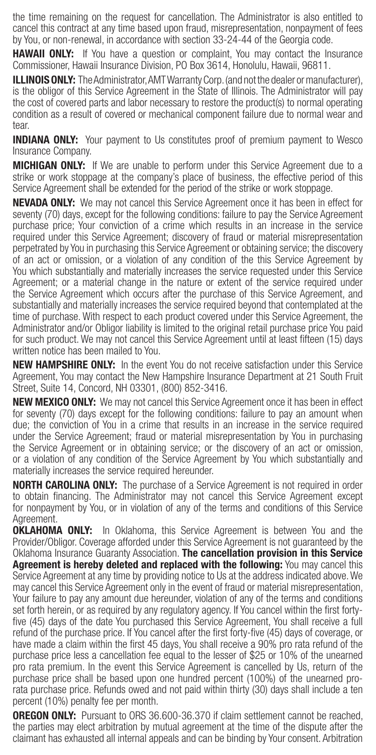the time remaining on the request for cancellation. The Administrator is also entitled to cancel this contract at any time based upon fraud, misrepresentation, nonpayment of fees by You, or non-renewal, in accordance with section 33-24-44 of the Georgia code.

**HAWAII ONLY:** If You have a question or complaint, You may contact the Insurance Commissioner, Hawaii Insurance Division, PO Box 3614, Honolulu, Hawaii, 96811.

**ILLINOIS ONLY:** The Administrator, AMT Warranty Corp. (and not the dealer or manufacturer), is the obligor of this Service Agreement in the State of Illinois. The Administrator will pay the cost of covered parts and labor necessary to restore the product(s) to normal operating condition as a result of covered or mechanical component failure due to normal wear and tear.

**INDIANA ONLY:** Your payment to Us constitutes proof of premium payment to Wesco Insurance Company.

**MICHIGAN ONLY:** If We are unable to perform under this Service Agreement due to a strike or work stoppage at the company's place of business, the effective period of this Service Agreement shall be extended for the period of the strike or work stoppage.

**NEVADA ONLY:** We may not cancel this Service Agreement once it has been in effect for seventy (70) days, except for the following conditions: failure to pay the Service Agreement purchase price; Your conviction of a crime which results in an increase in the service required under this Service Agreement; discovery of fraud or material misrepresentation perpetrated by You in purchasing this Service Agreement or obtaining service; the discovery of an act or omission, or a violation of any condition of the this Service Agreement by You which substantially and materially increases the service requested under this Service Agreement; or a material change in the nature or extent of the service required under the Service Agreement which occurs after the purchase of this Service Agreement, and substantially and materially increases the service required beyond that contemplated at the time of purchase. With respect to each product covered under this Service Agreement, the Administrator and/or Obligor liability is limited to the original retail purchase price You paid for such product. We may not cancel this Service Agreement until at least fifteen (15) days written notice has been mailed to You.

**NEW HAMPSHIRE ONLY:** In the event You do not receive satisfaction under this Service Agreement, You may contact the New Hampshire Insurance Department at 21 South Fruit Street, Suite 14, Concord, NH 03301, (800) 852-3416.

**NEW MEXICO ONLY:** We may not cancel this Service Agreement once it has been in effect for seventy (70) days except for the following conditions: failure to pay an amount when due; the conviction of You in a crime that results in an increase in the service required under the Service Agreement; fraud or material misrepresentation by You in purchasing the Service Agreement or in obtaining service; or the discovery of an act or omission, or a violation of any condition of the Service Agreement by You which substantially and materially increases the service required hereunder.

**NORTH CAROLINA ONLY:** The purchase of a Service Agreement is not required in order to obtain financing. The Administrator may not cancel this Service Agreement except for nonpayment by You, or in violation of any of the terms and conditions of this Service Agreement.

**OKLAHOMA ONLY:** In Oklahoma, this Service Agreement is between You and the Provider/Obligor. Coverage afforded under this Service Agreement is not guaranteed by the Oklahoma Insurance Guaranty Association. The cancellation provision in this Service **Agreement is hereby deleted and replaced with the following:** You may cancel this Service Agreement at any time by providing notice to Us at the address indicated above. We may cancel this Service Agreement only in the event of fraud or material misrepresentation, Your failure to pay any amount due hereunder, violation of any of the terms and conditions set forth herein, or as required by any regulatory agency. If You cancel within the first fortyfive (45) days of the date You purchased this Service Agreement, You shall receive a full refund of the purchase price. If You cancel after the first forty-five (45) days of coverage, or have made a claim within the first 45 days, You shall receive a 90% pro rata refund of the purchase price less a cancellation fee equal to the lesser of \$25 or 10% of the unearned pro rata premium. In the event this Service Agreement is cancelled by Us, return of the purchase price shall be based upon one hundred percent (100%) of the unearned prorata purchase price. Refunds owed and not paid within thirty (30) days shall include a ten percent (10%) penalty fee per month.

**OREGON ONLY:** Pursuant to ORS 36.600-36.370 if claim settlement cannot be reached, the parties may elect arbitration by mutual agreement at the time of the dispute after the claimant has exhausted all internal appeals and can be binding by Your consent. Arbitration